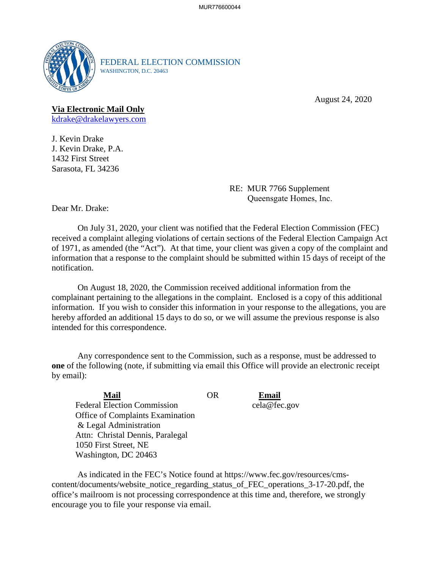

FEDERAL ELECTION COMMISSION WASHINGTON, D.C. 20463

August 24, 2020

## **Via Electronic Mail Only**

[kdrake@drakelawyers.com](mailto:kdrake@drakelawyers.com)

J. Kevin Drake J. Kevin Drake, P.A. 1432 First Street Sarasota, FL 34236

> RE: MUR 7766 Supplement Queensgate Homes, Inc.

Dear Mr. Drake:

 of 1971, as amended (the "Act"). At that time, your client was given a copy of the complaint and On July 31, 2020, your client was notified that the Federal Election Commission (FEC) received a complaint alleging violations of certain sections of the Federal Election Campaign Act information that a response to the complaint should be submitted within 15 days of receipt of the notification.

On August 18, 2020, the Commission received additional information from the complainant pertaining to the allegations in the complaint. Enclosed is a copy of this additional information. If you wish to consider this information in your response to the allegations, you are hereby afforded an additional 15 days to do so, or we will assume the previous response is also intended for this correspondence.

Any correspondence sent to the Commission, such as a response, must be addressed to **one** of the following (note, if submitting via email this Office will provide an electronic receipt by email):

| Mail                               | OR | Email        |
|------------------------------------|----|--------------|
| <b>Federal Election Commission</b> |    | cela@fec.gov |
| Office of Complaints Examination   |    |              |
| & Legal Administration             |    |              |
| Attn: Christal Dennis, Paralegal   |    |              |
| 1050 First Street, NE              |    |              |
| Washington, DC 20463               |    |              |

As indicated in the FEC's Notice found at<https://www.fec.gov/resources/cms>content/documents/website\_notice\_regarding\_status\_of\_FEC\_operations\_3-17-20.pdf, the office's mailroom is not processing correspondence at this time and, therefore, we strongly encourage you to file your response via email.